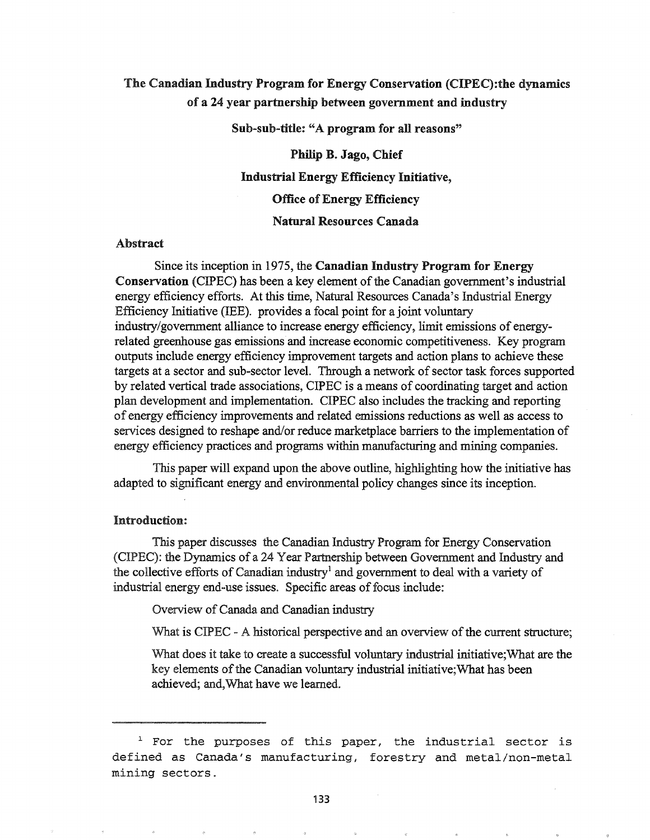# The Canadian Industry Program for Energy Conservation (CIPEC):the dynamics of a 24 year partnership between government and industry

Sub-sub-title: "A program for all reasons"

Philip B. Jago, Chief Industrial Energy Efficiency Initiative, Office of Energy Efficiency

# Natural Resources Canada

#### Abstract

Since its inception in 1975, the Canadian Industry Program for Energy Conservation (CIPEC) has been a key element of the Canadian government's industrial energy efficiency efforts. At this time, Natural Resources Canada's Industrial Energy Efficiency Initiative (IEE). provides a focal point for a joint voluntary industry/government alliance to increase energy efficiency, limit emissions of energyrelated greenhouse gas emissions and increase economic competitiveness. Key program outputs include energy efficiency improvement targets and action plans to achieve these targets at a sector and sub-sector level. Through a network of sector task forces supported by related vertical trade associations, CIPEC is a means of coordinating target and action plan development and implementation. CIPEC also includes the tracking and reporting of energy efficiency improvements and related emissions reductions as well as access to services designed to reshape and/or reduce marketplace barriers to the implementation of energy efficiency practices and programs within manufacturing and mining companies.

This paper will expand upon the above outline, highlighting how the initiative has adapted to significant energy and environmental policy changes since its inception.

## Introduction:

This paper discusses the Canadian Industry Program for Energy Conservation (CIPEC): the Dynamics of a 24 Year Partnership between Government and Industry and the collective efforts of Canadian industry<sup>1</sup> and government to deal with a variety of industrial energy end-use issues. Specific areas of focus include:

Overview of Canada and Canadian industry

What is CIPEC - A historical perspective and an overview of the current structure;

What does it take to create a successful voluntary industrial initiative; What are the key elements of the Canadian voluntary industrial initiative; What has been achieved; and, What have we learned.

 $1$  For the purposes of this paper, the industrial sector is defined as Canada's manufacturing, forestry and metal/non-metal mining sectors ..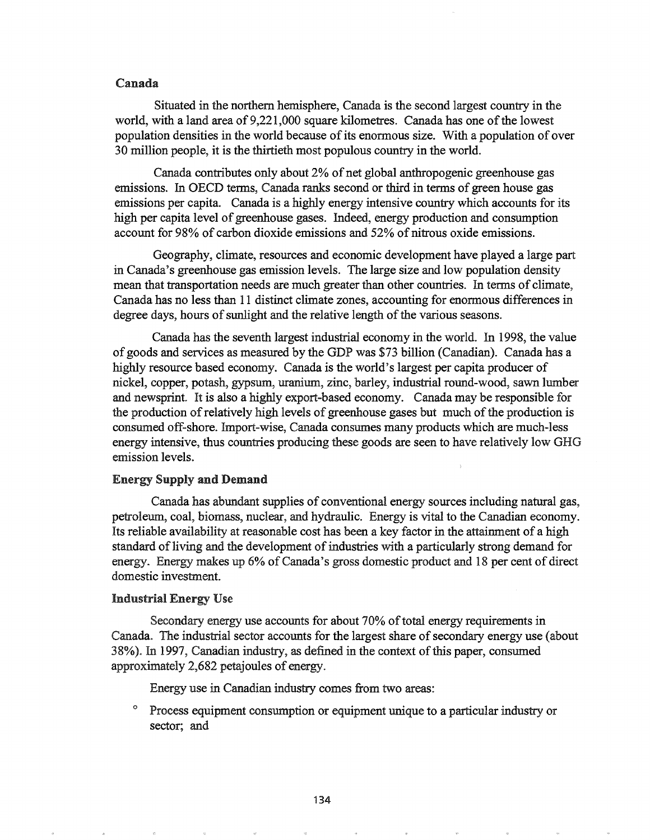## Canada

Situated in the northern hemisphere, Canada is the second largest country in the world, with a land area of 9,221,000 square kilometres. Canada has one of the lowest population densities in the world because of its enormous size. With a population of over 30 million people, it is the thirtieth most populous country in the world.

Canada contributes only about 2% of net global anthropogenic greenhouse gas emissions. In OECD terms, Canada ranks second or third in terms of green house gas emissions per capita. Canada is a highly energy intensive country which accounts for its high per capita level of greenhouse gases. Indeed, energy production and consumption account for 98% of carbon dioxide emissions and 52% of nitrous oxide emissions.

Geography, climate, resources and economic development have played a large part in Canada's greenhouse gas emission levels. The large size and low population density mean that transportation needs are much greater than other countries. In terms of climate, Canada has no less than 11 distinct climate zones, accounting for enonnous differences in degree days, hours of sunlight and the relative length of the various seasons.

Canada has the seventh largest industrial economy in the world.. In 1998, the value ofgoods and services as measured by the GDP was \$73 billion (Canadian). Canada has a highly resource based economy. Canada is the world's largest per capita producer of nickel, copper, potash, gypsum, uranium, zinc, barley, industrial round-wood, sawn lumber and newsprint. It is also a highly export-based economy. Canada may be responsible for the production of relatively high levels of greenhouse gases but much of the production is consumed off-shore. Import-wise, Canada consumes many products which are much-less energy intensive, thus countries producing these goods are seen to have relatively low GHG emission levels..

### **Energy Supply and Demand**

Canada has abundant supplies of conventional energy sources including natural gas, petroleum, coal, biomass, nuclear, and hydraulic. Energy is vital to the Canadian economy. Its reliable availability at reasonable cost has been a key factor in the attainment of a high standard of living and the development of industries with a particularly strong demand for energy. Energy makes up 6% of Canada's gross domestic product and 18 per cent of direct domestic investment..

## Industrial Energy Use

Secondary energy use accounts for about 70% of total energy requirements in Canada. The industrial sector accounts for the largest share of secondary energy use (about 38%). In 1997, Canadian industry, as defined in the context of this paper, consumed approximately 2,682 petajoules of energy.

Energy use in Canadian industry comes from two areas:

<sup>o</sup> Process equipment consumption or equipment unique to a particular industry or sector; and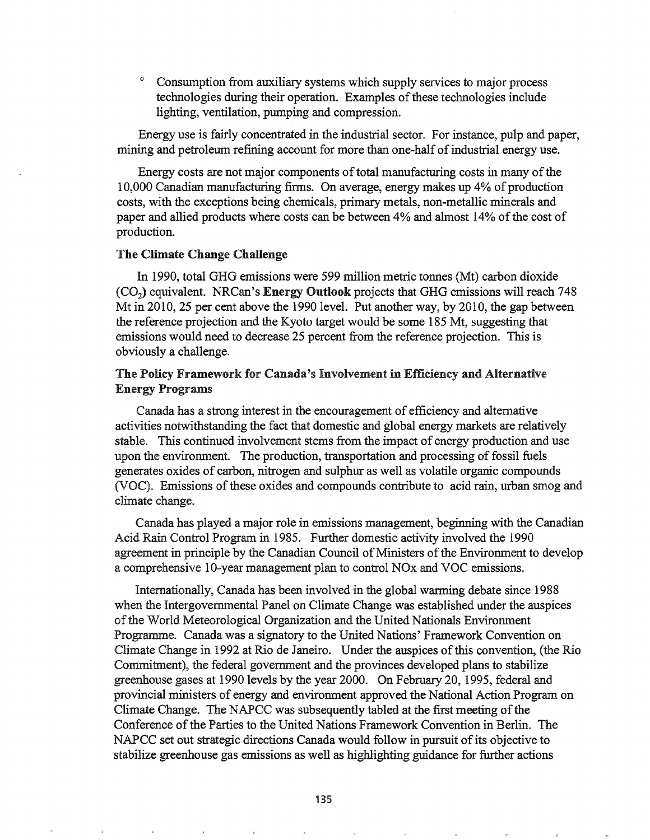Consumption from auxiliary systems which supply services to major process technologies during their operation. Examples of these technologies include lighting, ventilation, pumping and compression.

Energy use is fairly concentrated in the industrial sector. For instance, pulp and paper, mining and petroleum refining account for more than one-half of industrial energy use.

Energy costs are not major components of total manufacturing costs in many of the 10,000 Canadian manufacturing firms. On average, energy makes up 4% of production costs, with the exceptions being chemicals, primary metals, non-metallic minerals and paper and allied products where costs can be between 4% and almost 14% of the cost of production.

## The Climate Change Challenge

In 1990, total GHG emissions were 599 million metric tonnes (Mt) carbon dioxide (C02) equivalent. NRCan's Energy Outlook projects that GHG emissions will reach 748 Mt in 2010, 25 per cent above the 1990 level. Put another way, by 2010, the gap between the reference projection and the Kyoto target would be some 185 Mt, suggesting that emissions would need to decrease 25 percent from the reference projection. This is obviously a challenge.

# The Policy Framework for Canada's Involvement in Efficiency and Alternative Energy Programs

Canada has a strong interest in the encouragement of efficiency and alternative activities notwithstanding the fact that domestic and global energy markets are relatively stable. This continued involvement stems from the impact of energy production and use upon the environment. The production, transportation and processing of fossil fuels generates oxides of carbon, nitrogen and sulphur as well as volatile organic compounds (VOC). Emissions of these oxides and compounds contribute to acid rain, urban smog and climate change.

Canada has played a major role in emissions management, beginning with the Canadian Acid Rain Control Program in 1985. Further domestic activity involved the 1990 agreement in principle by the Canadian Council of Ministers of the Environment to develop a comprehensive 10-year management plan to control NO<sub>x</sub> and VOC emissions.

Internationally, Canada has been involved in the global warming debate since 1988 when the Intergovernmental Panel on Climate Change was established under the auspices of the World Meteorological Organization and the United Nationals Environment Programme. Canada was a signatory to the United Nations' Framework Convention on Climate Change in 1992 at Rio de Janeiro. Under the auspices of this convention, (the Rio Commitment), the federal government and the provinces developed plans to stabilize greenhouse gases at 1990 levels by the year 2000. On February 20, 1995, federal and provincial ministers of energy and environment approved the National Action Program on Climate Change. The NAPCC was subsequently tabled at the first meeting of the Conference of the Parties to the United Nations Framework Convention in Berlin. The NAPCC set out strategic directions Canada would follow in pursuit of its objective to stabilize greenhouse gas emissions as well as highlighting guidance for further actions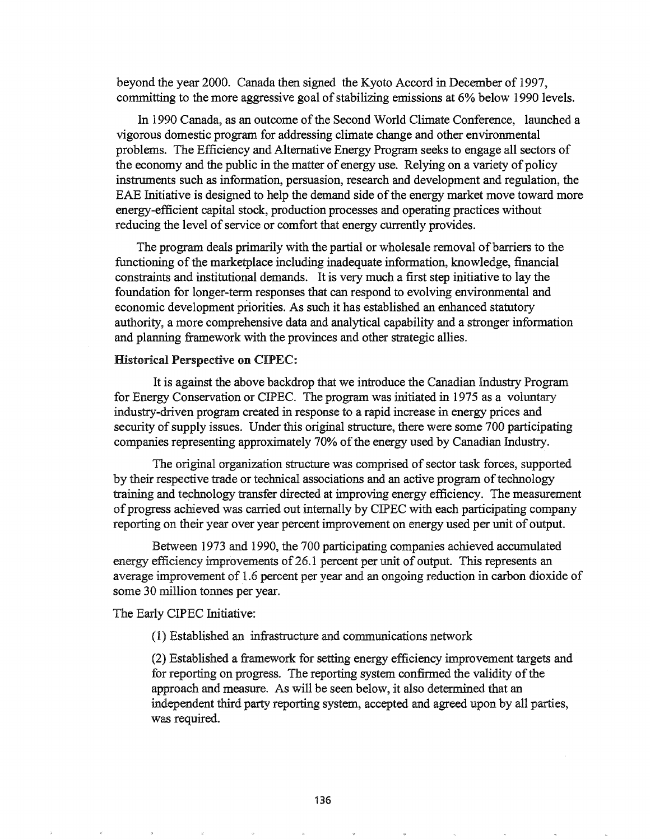beyond the year 2000. Canada then signed the Kyoto Accord in December of 1997, committing to the more aggressive goal of stabilizing emissions at 6% below 1990 levels.

In 1990 Canada, as an outcome of the Second World Climate Conference, launched a vigorous domestic program for addressing climate change and other environmental problems. The Efficiency and Alternative Energy Program seeks to engage all sectors of the economy and the public in the matter of energy use. Relying on a variety of policy instruments such as information, persuasion, research and development and regulation, the EAE Initiative is designed to help the demand side of the energy market move toward more energy-efficient capital stock, production processes and operating practices without reducing the level of service or comfort that energy currently provides.

The program deals primarily with the partial or wholesale removal of barriers to the functioning of the marketplace including inadequate information, knowledge, financial constraints and institutional demands. It is very much a first step initiative to lay the foundation for longer-term responses that can respond to evolving environmental and economic development priorities. As such it has established an enhanced statutory authority, a more comprehensive data and analytical capability and a stronger infonnation and planning framework with the provinces and other strategic allies.

#### Historical Perspective on CIPEC:

It is against the above backdrop that we introduce the Canadian Industry Program for Energy Conservation or CIPEC. The program was initiated in 1975 as a voluntary industry-driven program created in response to a rapid increase in energy prices and security of supply issues. Under this original structure, there were some 700 participating companies representing approximately 70% of the energy used by Canadian Industry.

The original organization structure was comprised of sector task forces, supported by their respective trade or technical associations and an active program of technology training and technology transfer directed at improving energy efficiency. The measurement of progress achieved was carried out internally by CIPEC with each participating company reporting on their year over year percent improvement on energy used per unit of output.

Between 1973 and 1990, the 700 participating companies achieved accumulated energy efficiency improvements of 26.1 percent per unit of output. This represents an average improvement of 1.6 percent per year and an ongoing reduction in carbon dioxide of some 30 million tonnes per year.

The Early CIPEC Initiative:

(1) Established an infrastructure and communications network

(2) Established a framework for setting energy efficiency improvement targets and for reporting on progress. The reporting system confirmed the validity of the approach and measure.. As will be seen below, it also determined that an independent third party reporting system, accepted and agreed upon by all parties, was required.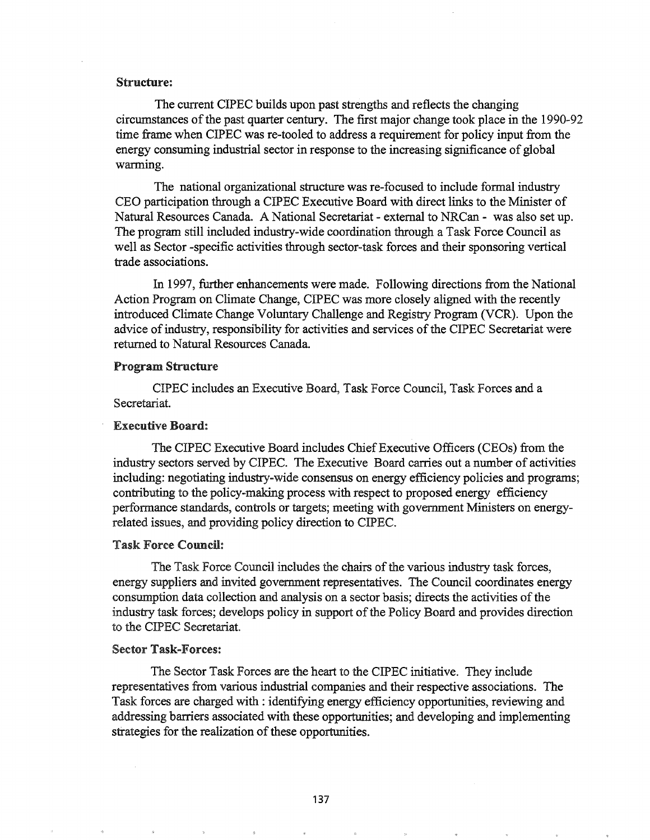#### Structure:

The current CIPEC builds upon past strengths and reflects the changing circumstances of the past quarter century. The first major change took place in the 1990-92 time frame when CIPEC was re-tooled to address a requirement for policy input from the energy consuming industrial sector in response to the increasing significance of global warming.

The national organizational structure was re-focused to include fonnal industry CEO participation through a CIPEC Executive Board with direct links to the Minister of Natural Resources Canada. A National Secretariat - external to NRCan - was also set up. The program still included industry-wide coordination through a Task Force Council as well as Sector -specific activities through sector-task forces and their sponsoring vertical trade associations.

In 1997, further enhancements were made. Following directions from the National Action Program on Climate Change, CIPEC was more closely aligned with the recently introduced Climate Change Voluntary Challenge and Registry Program (VCR). Upon the advice of industry, responsibility for activities and services of the CIPEC Secretariat were returned to Natural Resources Canada.

#### Program Structure

CIPEC includes an Executive Board, Task Force Council, Task Forces and a Secretariat.

## Executive Board:

The CIPEC Executive Board includes ChiefExecutive Officers (CEOs) from the industry sectors served by CIPEC. The Executive Board carries out a number of activities including: negotiating industry-wide consensus on energy efficiency policies and programs; contributing to the policy-making process with respect to proposed energy efficiency performance standards, controls or targets; meeting with government Ministers on energyrelated issues, and providing policy direction to CIPEC.

# Task Force Council:

The Task Force Council includes the chairs of the various industry task forces, energy suppliers and invited government representatives. The Council coordinates energy consumption data collection and analysis on a sector basis; directs the activities of the industry task forces; develops policy in support of the Policy Board and provides direction to the CIPEC Secretariat.

#### Sector Task-Forces:

The Sector Task Forces are the heart to the CIPEC initiative. They include representatives from various industrial companies and their respective associations. The Task forces are charged with: identifying energy efficiency opportunities, reviewing and addressing barriers associated with these opportunities; and developing and implementing strategies for the realization of these opportunities.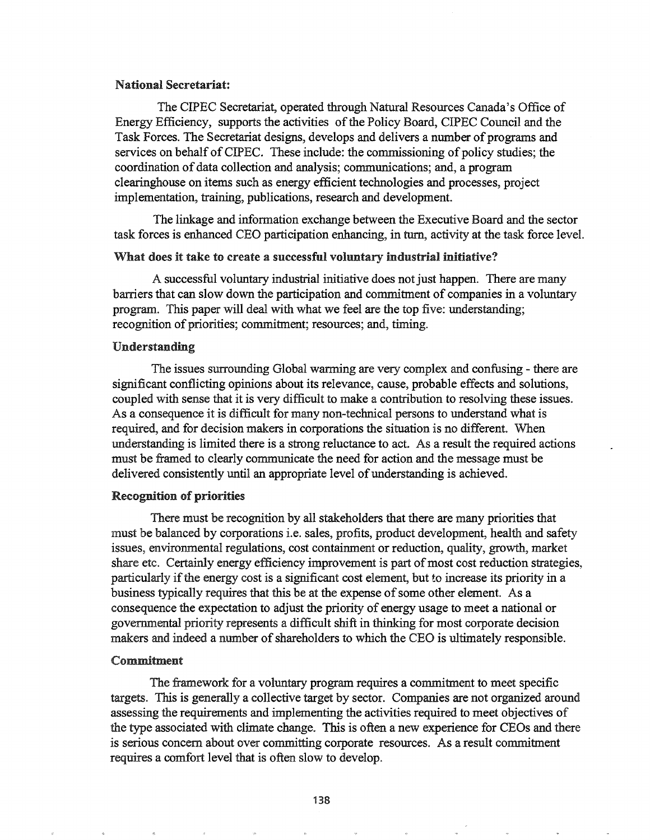#### National Secretariat:

The CIPEC Secretariat, operated through Natural Resources Canada's Office of Energy Efficiency, supports the activities of the Policy Board, CIPEC Council and the Task Forces. The Secretariat designs, develops and delivers a number of programs and services on behalf of CIPEC. These include: the commissioning of policy studies; the coordination of data collection and analysis; communications; and, a program clearinghouse on items such as energy efficient technologies and processes, project implementation, training, publications, research and development.

The linkage and infonnation exchange between the Executive Board and the sector task forces is enhanced CEO participation enhancing, in tum, activity at the task force leveL

## What does it take to create a successful voluntary industrial initiative?

A successful voluntary industrial initiative does not just happen. There are many barriers that can slow down the participation and commitment of companies in a voluntary program. This paper will deal with what we feel are the top five: understanding; recognition of priorities; commitment; resources; and, timing.

## Understanding

The issues surrounding Global warming are very complex and confusing - there are significant conflicting opinions about its relevance, cause, probable effects and solutions, coupled with sense that it is very difficult to make a contribution to resolving these issues. As a consequence it is difficult for many non-technical persons to understand what is required, and for decision makers in corporations the situation is no different. When understanding is limited there is a strong reluctance to act. As a result the required actions must be framed to clearly communicate the need for action and the message must be delivered consistently until an appropriate level of understanding is achieved.

#### Recognition of priorities

There must be recognition by all stakeholders that there are many priorities that must be balanced by corporations i.e. sales, profits, product development, health and safety issues, environmental regulations, cost containment or reduction, quality, growth, market share etc. Certainly energy efficiency improvement is part of most cost reduction strategies, particularly if the energy cost is a significant cost element, but to increase its priority in a business typically requires that this be at the expense of some other element. As a consequence the expectation to adjust the priority of energy usage to meet a national or governmental priority represents a difficult shift in thinking for most corporate decision makers and indeed a number of shareholders to which the CEO is ultimately responsible.

## Commitment

The framework for a voluntary program requires a commitment to meet specific targets. This is generally a collective target by sector. Companies are not organized around assessing the requirements and implementing the activities required to meet objectives of the type associated with climate change. This is often a new experience for CEOs and there is serious concern about over committing corporate resources. As a result commitment requires a comfort level that is often slow to develop.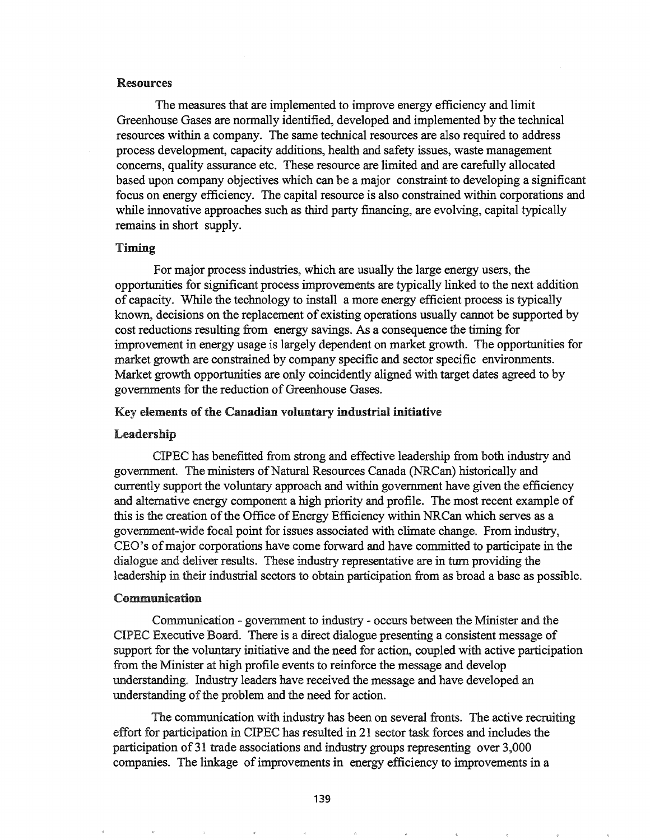## Resources

The measures that are implemented to improve energy efficiency and limit Greenhouse Gases are normally identified, developed and implemented by the technical resources within a company. The same technical resources are also required to address process development, capacity additions, health and safety issues, waste management concerns, quality assurance etc. These resource are limited and are carefully allocated based upon company objectives which can be a major constraint to developing a significant focus on energy efficiency. The capital resource is also constrained within corporations and while innovative approaches such as third party financing, are evolving, capital typically remains in short supply.

## Timing

For major process industries, which are usually the large energy users, the opportunities for significant process improvements are typically linked to the next addition of capacity. While the technology to install a more energy efficient process is typically known, decisions on the replacement of existing operations usually cannot be supported by cost reductions resulting from energy savings. As a consequence the timing for improvement in energy usage is largely dependent on market growth. The opportunities for market growth are constrained by company specific and sector specific environments. Market growth opportunities are only coincidently aligned with target dates agreed to by governments for the reduction of Greenhouse Gases.

#### Key elements of the Canadian voluntary industrial initiative

#### Leadership

CIPEC has benefitted from strong and effective leadership from both industry and government. The ministers of Natural Resources Canada (NRCan) historically and currently support the voluntary approach and within government have given the efficiency and alternative energy component a high priority and profile. The most recent example of this is the creation of the Office of Energy Efficiency within NRCan which serves as a government-wide focal point for issues associated with climate change. From industry, CEO's of major corporations have come forward and have committed to participate in the dialogue and deliver results. These industry representative are in turn providing the leadership in their industrial sectors to obtain participation from as broad a base as possible.

### Communication

Communication - government to industry - occurs between the Minister and the CIPEC Executive Board. There is a direct dialogue presenting a consistent message of support for the voluntary initiative and the need for action, coupled with active participation from the Minister at high profile events to reinforce the message and develop understanding. Industry leaders have received the message and have developed an understanding of the problem and the need for action.

The communication with industry has been on several fronts. The active recruiting effort for participation in CIPEC has resulted in 21 sector task forces and includes the participation of 31 trade associations and industry groups representing over 3,000 companies. The linkage of improvements in energy efficiency to improvements in a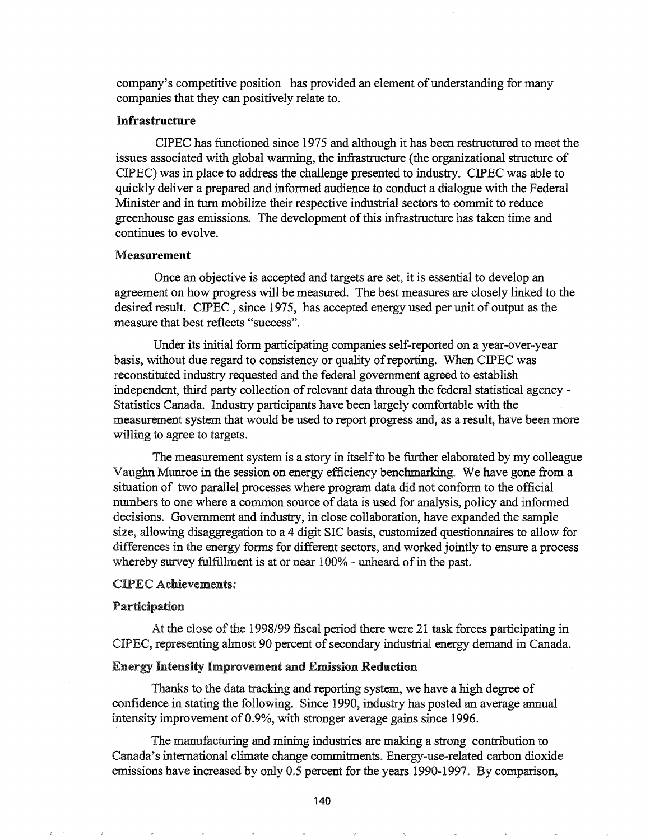company's competitive position has provided an element of understanding for many companies that they can positively relate to.

#### **Infrastructure**

CIPEC has functioned since 1975 and although it has been restructured to meet the issues associated with global warming, the infrastructure (the organizational structure of CIPEC) was in place to address the challenge presented to industry. CIPEC was able to quickly deliver a prepared and infonned audience to conduct a dialogue with the Federal Minister and in turn mobilize their respective industrial sectors to commit to reduce greenhouse gas emissions. The development of this infrastructure has taken time and continues to evolve..

#### Measurement

Once an objective is accepted and targets are set, it is essential to develop an agreement on how progress will be measured. The best measures are closely linked to the desired result. CIPEC, since 1975, has accepted energy used per unit of output as the measure that best reflects "success"..

Under its initial form participating companies self-reported on a year-over-year basis, without due regard to consistency or quality of reporting. When CIPEC was reconstituted industry requested and the federal government agreed to establish independent, third party collection of relevant data through the federal statistical agency -Statistics Canada. Industry participants have been largely comfortable with the measurement system that would be used to report progress and, as a result, have been more willing to agree to targets.

The measurement system is a story in itself to be further elaborated by my colleague Vaughn Munroe in the session on energy efficiency benchmarking. We have gone from a situation of two parallel processes where program data did not conform to the official numbers to one where a common source of data is used for analysis, policy and informed decisions. Government and industry, in close collaboration, have expanded the sample size, allowing disaggregation to a 4 digit SIC basis, customized questionnaires to allow for differences in the energy forms for different sectors, and worked jointly to ensure a process whereby survey fulfillment is at or near  $100\%$  - unheard of in the past.

## CIPEC Achievements:

## Participation

At the close of the 1998/99 fiscal period there were 21 task forces participating in CIPEC, representing almost 90 percent of secondary industrial energy demand in Canada.

## Energy Intensity Improvement and Emission Reduction

Thanks to the data tracking and reporting system, we have a high degree of confidence in stating the following. Since 1990, industry has posted an average annual intensity improvement of  $0.9\%$ , with stronger average gains since 1996.

The manufacturing and mining industries are making a strong contribution to Canada's international climate change commitments.. Energy-use-related carbon dioxide emissions have increased by only 0.5 percent for the years 1990-1997. By comparison,